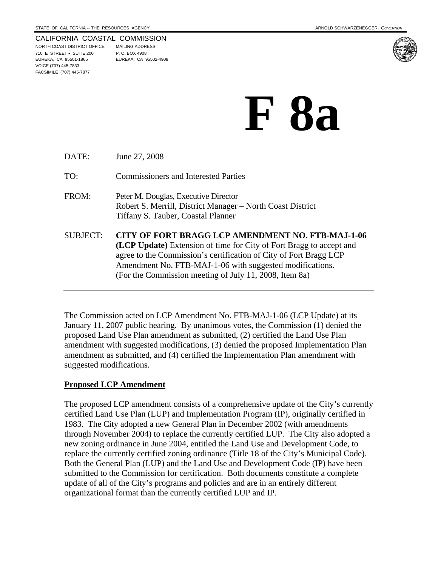### CALIFORNIA COASTAL COMMISSION

NORTH COAST DISTRICT OFFICE MAILING ADDRESS: 710 E STREET • SUITE 200 P. O. BOX 4908 EUREKA, CA 95501-1865 EUREKA, CA 95502-4908 VOICE (707) 445-7833 FACSIMILE (707) 445-7877



# **F 8a**

| DATE:    | June 27, 2008                                                                                                                                                                                                                                                                                                       |
|----------|---------------------------------------------------------------------------------------------------------------------------------------------------------------------------------------------------------------------------------------------------------------------------------------------------------------------|
| TO:      | <b>Commissioners and Interested Parties</b>                                                                                                                                                                                                                                                                         |
| FROM:    | Peter M. Douglas, Executive Director<br>Robert S. Merrill, District Manager – North Coast District<br>Tiffany S. Tauber, Coastal Planner                                                                                                                                                                            |
| SUBJECT: | CITY OF FORT BRAGG LCP AMENDMENT NO. FTB-MAJ-1-06<br>(LCP Update) Extension of time for City of Fort Bragg to accept and<br>agree to the Commission's certification of City of Fort Bragg LCP<br>Amendment No. FTB-MAJ-1-06 with suggested modifications.<br>(For the Commission meeting of July 11, 2008, Item 8a) |

The Commission acted on LCP Amendment No. FTB-MAJ-1-06 (LCP Update) at its January 11, 2007 public hearing. By unanimous votes, the Commission (1) denied the proposed Land Use Plan amendment as submitted, (2) certified the Land Use Plan amendment with suggested modifications, (3) denied the proposed Implementation Plan amendment as submitted, and (4) certified the Implementation Plan amendment with suggested modifications.

# **Proposed LCP Amendment**

The proposed LCP amendment consists of a comprehensive update of the City's currently certified Land Use Plan (LUP) and Implementation Program (IP), originally certified in 1983. The City adopted a new General Plan in December 2002 (with amendments through November 2004) to replace the currently certified LUP. The City also adopted a new zoning ordinance in June 2004, entitled the Land Use and Development Code, to replace the currently certified zoning ordinance (Title 18 of the City's Municipal Code). Both the General Plan (LUP) and the Land Use and Development Code (IP) have been submitted to the Commission for certification. Both documents constitute a complete update of all of the City's programs and policies and are in an entirely different organizational format than the currently certified LUP and IP.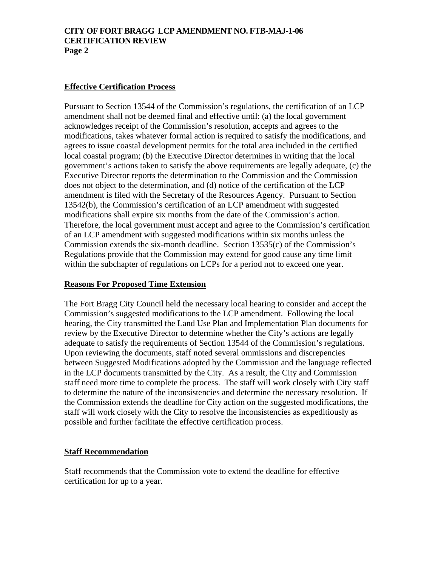# **CITY OF FORT BRAGG LCP AMENDMENT NO. FTB-MAJ-1-06 CERTIFICATION REVIEW Page 2**

# **Effective Certification Process**

Pursuant to Section 13544 of the Commission's regulations, the certification of an LCP amendment shall not be deemed final and effective until: (a) the local government acknowledges receipt of the Commission's resolution, accepts and agrees to the modifications, takes whatever formal action is required to satisfy the modifications, and agrees to issue coastal development permits for the total area included in the certified local coastal program; (b) the Executive Director determines in writing that the local government's actions taken to satisfy the above requirements are legally adequate, (c) the Executive Director reports the determination to the Commission and the Commission does not object to the determination, and (d) notice of the certification of the LCP amendment is filed with the Secretary of the Resources Agency. Pursuant to Section 13542(b), the Commission's certification of an LCP amendment with suggested modifications shall expire six months from the date of the Commission's action. Therefore, the local government must accept and agree to the Commission's certification of an LCP amendment with suggested modifications within six months unless the Commission extends the six-month deadline. Section 13535(c) of the Commission's Regulations provide that the Commission may extend for good cause any time limit within the subchapter of regulations on LCPs for a period not to exceed one year.

#### **Reasons For Proposed Time Extension**

The Fort Bragg City Council held the necessary local hearing to consider and accept the Commission's suggested modifications to the LCP amendment. Following the local hearing, the City transmitted the Land Use Plan and Implementation Plan documents for review by the Executive Director to determine whether the City's actions are legally adequate to satisfy the requirements of Section 13544 of the Commission's regulations. Upon reviewing the documents, staff noted several ommissions and discrepencies between Suggested Modifications adopted by the Commission and the language reflected in the LCP documents transmitted by the City. As a result, the City and Commission staff need more time to complete the process. The staff will work closely with City staff to determine the nature of the inconsistencies and determine the necessary resolution. If the Commission extends the deadline for City action on the suggested modifications, the staff will work closely with the City to resolve the inconsistencies as expeditiously as possible and further facilitate the effective certification process.

#### **Staff Recommendation**

Staff recommends that the Commission vote to extend the deadline for effective certification for up to a year.